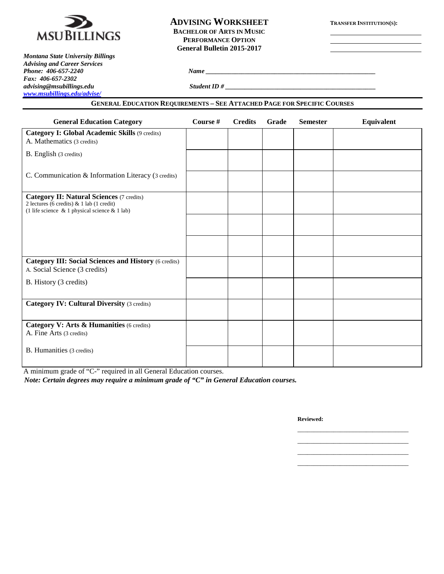

### **ADVISING WORKSHEET TRANSFER INSTITUTION(S): BACHELOR OF ARTS IN MUSIC PERFORMANCE OPTION General Bulletin 2015-2017**

*Montana State University Billings Advising and Career Services Fax: 406-657-2302 advising@msubillings.edu Student ID # \_\_\_\_\_\_\_\_\_\_\_\_\_\_\_\_\_\_\_\_\_\_\_\_\_\_\_\_\_\_\_\_\_\_\_\_\_\_\_\_\_\_\_\_\_\_ [www.msubillings.edu/advise/](http://www.msubillings.edu/advise/)*

### **GENERAL EDUCATION REQUIREMENTS – SEE ATTACHED PAGE FOR SPECIFIC COURSES**

*Phone: 406-657-2240 Name \_\_\_\_\_\_\_\_\_\_\_\_\_\_\_\_\_\_\_\_\_\_\_\_\_\_\_\_\_\_\_\_\_\_\_\_\_\_\_\_\_\_\_\_\_\_\_\_\_\_\_\_*

| <b>General Education Category</b>                                                                                                              | Course # | <b>Credits</b> | Grade | <b>Semester</b> | Equivalent |
|------------------------------------------------------------------------------------------------------------------------------------------------|----------|----------------|-------|-----------------|------------|
| <b>Category I: Global Academic Skills (9 credits)</b><br>A. Mathematics (3 credits)                                                            |          |                |       |                 |            |
| B. English (3 credits)                                                                                                                         |          |                |       |                 |            |
| C. Communication & Information Literacy (3 credits)                                                                                            |          |                |       |                 |            |
| <b>Category II: Natural Sciences (7 credits)</b><br>2 lectures (6 credits) & 1 lab (1 credit)<br>(1 life science & 1 physical science & 1 lab) |          |                |       |                 |            |
|                                                                                                                                                |          |                |       |                 |            |
|                                                                                                                                                |          |                |       |                 |            |
| <b>Category III: Social Sciences and History (6 credits)</b><br>A. Social Science (3 credits)                                                  |          |                |       |                 |            |
| B. History (3 credits)                                                                                                                         |          |                |       |                 |            |
| <b>Category IV: Cultural Diversity (3 credits)</b>                                                                                             |          |                |       |                 |            |
| Category V: Arts & Humanities (6 credits)<br>A. Fine Arts (3 credits)                                                                          |          |                |       |                 |            |
| B. Humanities (3 credits)                                                                                                                      |          |                |       |                 |            |

A minimum grade of "C-" required in all General Education courses. *Note: Certain degrees may require a minimum grade of "C" in General Education courses.*

**Reviewed:**

\_\_\_\_\_\_\_\_\_\_\_\_\_\_\_\_\_\_\_\_\_\_\_\_\_\_\_\_\_\_\_\_\_\_ \_\_\_\_\_\_\_\_\_\_\_\_\_\_\_\_\_\_\_\_\_\_\_\_\_\_\_\_\_\_\_\_\_\_ \_\_\_\_\_\_\_\_\_\_\_\_\_\_\_\_\_\_\_\_\_\_\_\_\_\_\_\_\_\_\_\_\_\_ \_\_\_\_\_\_\_\_\_\_\_\_\_\_\_\_\_\_\_\_\_\_\_\_\_\_\_\_\_\_\_\_\_\_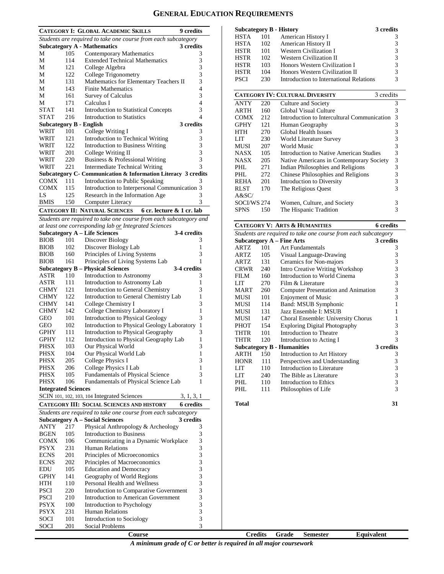# **GENERAL EDUCATION REQUIREMENTS**

| <b>CATEGORY I: GLOBAL ACADEMIC SKILLS</b><br>9 credits            |                                   |                                                               |           |  |  |
|-------------------------------------------------------------------|-----------------------------------|---------------------------------------------------------------|-----------|--|--|
| Students are required to take one course from each subcategory    |                                   |                                                               |           |  |  |
|                                                                   |                                   | <b>Subcategory A - Mathematics</b>                            | 3 credits |  |  |
| М                                                                 | 105                               | <b>Contemporary Mathematics</b>                               | 3         |  |  |
| М                                                                 | 114                               | <b>Extended Technical Mathematics</b>                         | 3         |  |  |
| М                                                                 | 121                               | College Algebra                                               | 3         |  |  |
| М                                                                 | 122                               | College Trigonometry                                          | 3         |  |  |
| М                                                                 | 131                               | Mathematics for Elementary Teachers II                        | 3         |  |  |
| М                                                                 | 143                               | <b>Finite Mathematics</b>                                     | 4         |  |  |
| М                                                                 | 161                               | Survey of Calculus                                            | 3         |  |  |
| М                                                                 | 171                               | Calculus I                                                    | 4         |  |  |
| <b>STAT</b>                                                       | 141                               | <b>Introduction to Statistical Concepts</b>                   | 3         |  |  |
| <b>STAT</b>                                                       | Introduction to Statistics<br>216 |                                                               |           |  |  |
|                                                                   |                                   | <b>Subcategory B - English</b>                                | 3 credits |  |  |
| WRIT                                                              | 101                               | College Writing I                                             | 3         |  |  |
| WRIT                                                              | 121                               | Introduction to Technical Writing                             | 3         |  |  |
| WRIT                                                              | 122                               | <b>Introduction to Business Writing</b>                       | 3         |  |  |
| WRIT                                                              | 201                               | College Writing II                                            | 3         |  |  |
| WRIT                                                              | 220                               | Business & Professional Writing                               | 3         |  |  |
| WRIT                                                              | 221                               | Intermediate Technical Writing                                | 3         |  |  |
|                                                                   |                                   | Subcategory C- Communication & Information Literacy 3 credits |           |  |  |
| <b>COMX</b>                                                       | 111                               | Introduction to Public Speaking                               | 3         |  |  |
| <b>COMX</b>                                                       | 115                               | Introduction to Interpersonal Communication 3                 |           |  |  |
| LS                                                                | 125                               | Research in the Information Age                               | 3         |  |  |
| <b>BMIS</b>                                                       | 150                               | Computer Literacy                                             | 3         |  |  |
| <b>CATEGORY II: NATURAL SCIENCES</b><br>6 cr. lecture & 1 cr. lab |                                   |                                                               |           |  |  |

*Students are required to take one course from each subcategory and* 

|                            |     | at least one corresponding lab or Integrated Sciences          |              |                                                              |     | <b>CATEGORY V: ARTS &amp; HUMANITIES</b>   | 6 cre      |  |  |
|----------------------------|-----|----------------------------------------------------------------|--------------|--------------------------------------------------------------|-----|--------------------------------------------|------------|--|--|
|                            |     | <b>Subcategory A – Life Sciences</b>                           | 3-4 credits  | Students are required to take one course from each subcatego |     |                                            |            |  |  |
| <b>BIOB</b>                | 101 | Discover Biology                                               | 3            |                                                              |     | Subcategory $A$ – Fine Arts                | 3 cre      |  |  |
| <b>BIOB</b>                | 102 | Discover Biology Lab                                           | 1            | ARTZ                                                         | 101 | <b>Art Fundamentals</b>                    |            |  |  |
| <b>BIOB</b>                | 160 | Principles of Living Systems                                   | 3            | ARTZ                                                         | 105 | Visual Language-Drawing                    |            |  |  |
| <b>BIOB</b>                | 161 | Principles of Living Systems Lab                               | 1            | ARTZ                                                         | 131 | Ceramics for Non-majors                    |            |  |  |
|                            |     | <b>Subcategory B - Physical Sciences</b>                       | 3-4 credits  | <b>CRWR</b>                                                  | 240 | Intro Creative Writing Workshop            |            |  |  |
| <b>ASTR</b>                | 110 | Introduction to Astronomy                                      | 3            | <b>FILM</b>                                                  | 160 | Introduction to World Cinema               |            |  |  |
| <b>ASTR</b>                | 111 | Introduction to Astronomy Lab                                  | 1            | <b>LIT</b>                                                   | 270 | Film & Literature                          |            |  |  |
| <b>CHMY</b>                | 121 | Introduction to General Chemistry                              | 3            | <b>MART</b>                                                  | 260 | <b>Computer Presentation and Animation</b> |            |  |  |
| <b>CHMY</b>                | 122 | Introduction to General Chemistry Lab                          | 1            | MUSI                                                         | 101 | <b>Enjoyment of Music</b>                  |            |  |  |
| <b>CHMY</b>                | 141 | College Chemistry I                                            | 3            | <b>MUSI</b>                                                  | 114 | Band: MSUB Symphonic                       |            |  |  |
| <b>CHMY</b>                | 142 | College Chemistry Laboratory I                                 | $\mathbf{1}$ | <b>MUSI</b>                                                  | 131 | Jazz Ensemble I: MSUB                      |            |  |  |
| <b>GEO</b>                 | 101 | Introduction to Physical Geology                               | 3            | <b>MUSI</b>                                                  | 147 | Choral Ensemble: University Chorus         |            |  |  |
| <b>GEO</b>                 | 102 | Introduction to Physical Geology Laboratory                    | $\mathbf{1}$ | PHOT                                                         | 154 | <b>Exploring Digital Photography</b>       |            |  |  |
| <b>GPHY</b>                | 111 | Introduction to Physical Geography                             | 3            | <b>THTR</b>                                                  | 101 | Introduction to Theatre                    |            |  |  |
| <b>GPHY</b>                | 112 | Introduction to Physical Geography Lab                         | $\mathbf{1}$ | <b>THTR</b>                                                  | 120 | Introduction to Acting I                   |            |  |  |
| <b>PHSX</b>                | 103 | Our Physical World                                             | 3            |                                                              |     | <b>Subcategory B - Humanities</b>          | 3 cre      |  |  |
| <b>PHSX</b>                | 104 | Our Physical World Lab                                         | 1            | ARTH                                                         | 150 | Introduction to Art History                |            |  |  |
| <b>PHSX</b>                | 205 | College Physics I                                              | 3            | <b>HONR</b>                                                  | 111 | Perspectives and Understanding             |            |  |  |
| <b>PHSX</b>                | 206 | College Physics I Lab                                          | 1            | <b>LIT</b>                                                   | 110 | Introduction to Literature                 |            |  |  |
| <b>PHSX</b>                | 105 | Fundamentals of Physical Science                               | 3            | <b>LIT</b>                                                   | 240 | The Bible as Literature                    |            |  |  |
| <b>PHSX</b>                | 106 | Fundamentals of Physical Science Lab                           | 1            | PHL                                                          | 110 | Introduction to Ethics                     |            |  |  |
| <b>Integrated Sciences</b> |     |                                                                |              | PHL                                                          | 111 | Philosophies of Life                       |            |  |  |
|                            |     | SCIN 101, 102, 103, 104 Integrated Sciences                    | 3, 1, 3, 1   |                                                              |     |                                            |            |  |  |
|                            |     | <b>CATEGORY III: SOCIAL SCIENCES AND HISTORY</b>               | 6 credits    | <b>Total</b>                                                 |     |                                            |            |  |  |
|                            |     | Students are required to take one course from each subcategory |              |                                                              |     |                                            |            |  |  |
|                            |     | <b>Subcategory A – Social Sciences</b>                         | 3 credits    |                                                              |     |                                            |            |  |  |
| <b>ANTY</b>                | 217 | Physical Anthropology & Archeology                             | 3            |                                                              |     |                                            |            |  |  |
| <b>BGEN</b>                | 105 | <b>Introduction to Business</b>                                | 3            |                                                              |     |                                            |            |  |  |
| <b>COMX</b>                | 106 | Communicating in a Dynamic Workplace                           | 3            |                                                              |     |                                            |            |  |  |
| <b>PSYX</b>                | 231 | <b>Human Relations</b>                                         | 3            |                                                              |     |                                            |            |  |  |
| <b>ECNS</b>                | 201 | Principles of Microeconomics                                   | 3            |                                                              |     |                                            |            |  |  |
| <b>ECNS</b>                | 202 | Principles of Macroeconomics                                   | 3            |                                                              |     |                                            |            |  |  |
| <b>EDU</b>                 | 105 | <b>Education and Democracy</b>                                 | 3            |                                                              |     |                                            |            |  |  |
| <b>GPHY</b>                | 141 | Geography of World Regions                                     | 3            |                                                              |     |                                            |            |  |  |
| HTH                        | 110 | Personal Health and Wellness                                   | 3            |                                                              |     |                                            |            |  |  |
| <b>PSCI</b>                | 220 | Introduction to Comparative Government                         | 3            |                                                              |     |                                            |            |  |  |
| <b>PSCI</b>                | 210 | Introduction to American Government                            | 3            |                                                              |     |                                            |            |  |  |
| <b>PSYX</b>                | 100 | Introduction to Psychology                                     | 3            |                                                              |     |                                            |            |  |  |
| <b>PSYX</b>                | 231 | Human Relations                                                | 3            |                                                              |     |                                            |            |  |  |
| SOCI                       | 101 | Introduction to Sociology                                      | 3            |                                                              |     |                                            |            |  |  |
| SOCI                       | 201 | Social Problems                                                | 3            |                                                              |     |                                            |            |  |  |
|                            |     | Course                                                         |              | <b>Credits</b>                                               |     | Grade<br><b>Semester</b>                   | Equivalent |  |  |

| <b>Subcategory B - History</b> |     |                                         | 3 credits |
|--------------------------------|-----|-----------------------------------------|-----------|
| <b>HSTA</b>                    | 101 | American History I                      | 3         |
| <b>HSTA</b>                    | 102 | American History II                     | 3         |
| <b>HSTR</b>                    | 101 | Western Civilization I                  | 3         |
| <b>HSTR</b>                    | 102 | <b>Western Civilization II</b>          | 3         |
| <b>HSTR</b>                    | 103 | Honors Western Civilization I           | 3         |
| <b>HSTR</b>                    | 104 | Honors Western Civilization II          | 3         |
| <b>PSCI</b>                    | 230 | Introduction to International Relations | 3         |

|             | <b>CATEGORY IV: CULTURAL DIVERSITY</b><br>3 credits |                                             |   |  |  |  |
|-------------|-----------------------------------------------------|---------------------------------------------|---|--|--|--|
| <b>ANTY</b> | 220                                                 | Culture and Society                         | 3 |  |  |  |
| <b>ARTH</b> | 160                                                 | Global Visual Culture                       | 3 |  |  |  |
| <b>COMX</b> | 212                                                 | Introduction to Intercultural Communication | 3 |  |  |  |
| <b>GPHY</b> | 121                                                 | Human Geography                             | 3 |  |  |  |
| HTH         | 270                                                 | <b>Global Health Issues</b>                 | 3 |  |  |  |
| LIT         | 230                                                 | World Literature Survey                     | 3 |  |  |  |
| MUSI        | 207                                                 | World Music                                 | 3 |  |  |  |
| <b>NASX</b> | 105                                                 | Introduction to Native American Studies     | 3 |  |  |  |
| <b>NASX</b> | 205                                                 | Native Americans in Contemporary Society    | 3 |  |  |  |
| PHL         | 271                                                 | Indian Philosophies and Religions           | 3 |  |  |  |
| PHL.        | 272                                                 | Chinese Philosophies and Religions          | 3 |  |  |  |
| <b>REHA</b> | 201                                                 | Introduction to Diversity                   | 3 |  |  |  |
| <b>RLST</b> | 170                                                 | The Religious Quest                         | 3 |  |  |  |
| A&SC/       |                                                     |                                             |   |  |  |  |
| SOCI/WS 274 |                                                     | Women, Culture, and Society                 | 3 |  |  |  |
| SPNS        | 150                                                 | The Hispanic Tradition                      | 3 |  |  |  |

# **CATEGORY V: ARTS & HUMANITIES 6 credits**

| Students are required to take one course from each subcategory |     |                                        |           |  |  |
|----------------------------------------------------------------|-----|----------------------------------------|-----------|--|--|
|                                                                |     | <b>Subcategory A - Fine Arts</b>       | 3 credits |  |  |
| ARTZ                                                           | 101 | Art Fundamentals                       | 3         |  |  |
| ARTZ                                                           | 105 | Visual Language-Drawing                | 3         |  |  |
| ARTZ                                                           | 131 | Ceramics for Non-majors                | 3         |  |  |
| CRWR                                                           | 240 | <b>Intro Creative Writing Workshop</b> | 3         |  |  |
| FII M                                                          | 160 | Introduction to World Cinema           | 3         |  |  |
| LIT <sub></sub>                                                | 270 | Film & Literature                      | 3         |  |  |
| MART                                                           | 260 | Computer Presentation and Animation    | 3         |  |  |
| MUSI                                                           | 101 | <b>Enjoyment of Music</b>              | 3         |  |  |
| MUSI                                                           | 114 | Band: MSUB Symphonic                   | 1         |  |  |
| MUSI                                                           | 131 | Jazz Ensemble I: MSUB                  |           |  |  |
| MUSI                                                           | 147 | Choral Ensemble: University Chorus     |           |  |  |
| PHOT                                                           | 154 | <b>Exploring Digital Photography</b>   | 3         |  |  |
| THTR                                                           | 101 | Introduction to Theatre                | 3         |  |  |
| THTR                                                           | 120 | Introduction to Acting I               | 3         |  |  |
|                                                                |     | <b>Subcategory B - Humanities</b>      | 3 credits |  |  |
| ARTH                                                           | 150 | Introduction to Art History            | 3         |  |  |
| <b>HONR</b>                                                    | 111 | Perspectives and Understanding         | 3         |  |  |
| <b>LIT</b>                                                     | 110 | Introduction to Literature             | 3         |  |  |
| LIT                                                            | 240 | The Bible as Literature                | 3         |  |  |
| PHL                                                            | 110 | Introduction to Ethics                 | 3         |  |  |
| PHL                                                            | 111 | Philosophies of Life                   | 3         |  |  |
|                                                                |     |                                        |           |  |  |

- **Total 31**
- 

*A minimum grade of C or better is required in all major coursework*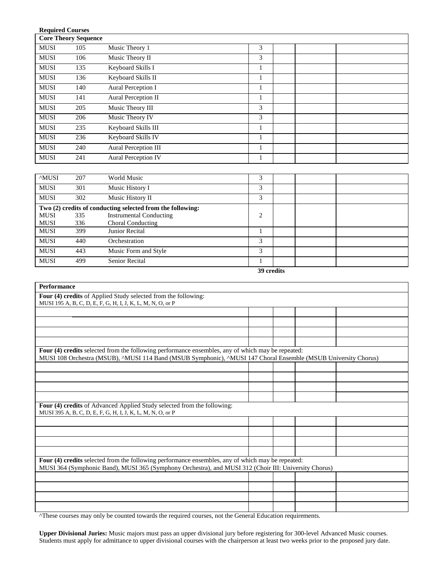| <b>Required Courses</b><br><b>Core Theory Sequence</b> |     |                             |   |  |  |  |  |
|--------------------------------------------------------|-----|-----------------------------|---|--|--|--|--|
| <b>MUSI</b>                                            | 105 | Music Theory 1              | 3 |  |  |  |  |
| <b>MUSI</b>                                            | 106 | Music Theory II             | 3 |  |  |  |  |
| <b>MUSI</b>                                            | 135 | Keyboard Skills I           |   |  |  |  |  |
| <b>MUSI</b>                                            | 136 | Keyboard Skills II          |   |  |  |  |  |
| <b>MUSI</b>                                            | 140 | Aural Perception I          |   |  |  |  |  |
| <b>MUSI</b>                                            | 141 | Aural Perception II         |   |  |  |  |  |
| <b>MUSI</b>                                            | 205 | Music Theory III            | 3 |  |  |  |  |
| <b>MUSI</b>                                            | 206 | Music Theory IV             | 3 |  |  |  |  |
| <b>MUSI</b>                                            | 235 | Keyboard Skills III         |   |  |  |  |  |
| <b>MUSI</b>                                            | 236 | Keyboard Skills IV          |   |  |  |  |  |
| <b>MUSI</b>                                            | 240 | <b>Aural Perception III</b> |   |  |  |  |  |
| <b>MUSI</b>                                            | 241 | <b>Aural Perception IV</b>  |   |  |  |  |  |

| <sup>A</sup> MUSI | 207 | World Music                                                | 3              |  |  |  |
|-------------------|-----|------------------------------------------------------------|----------------|--|--|--|
| <b>MUSI</b>       | 301 | Music History I                                            | 3              |  |  |  |
| <b>MUSI</b>       | 302 | Music History II                                           | 3              |  |  |  |
|                   |     | Two (2) credits of conducting selected from the following: |                |  |  |  |
| <b>MUSI</b>       | 335 | <b>Instrumental Conducting</b>                             | $\overline{2}$ |  |  |  |
| <b>MUSI</b>       | 336 | Choral Conducting                                          |                |  |  |  |
| <b>MUSI</b>       | 399 | Junior Recital                                             |                |  |  |  |
| <b>MUSI</b>       | 440 | Orchestration                                              | 3              |  |  |  |
| <b>MUSI</b>       | 443 | Music Form and Style                                       | 3              |  |  |  |
| <b>MUSI</b>       | 499 | <b>Senior Recital</b>                                      |                |  |  |  |
| 39 credits        |     |                                                            |                |  |  |  |

| <sup>39</sup> credits |
|-----------------------|
|                       |

| <b>Performance</b>                                                                                                                                                                                                  |  |  |
|---------------------------------------------------------------------------------------------------------------------------------------------------------------------------------------------------------------------|--|--|
| Four (4) credits of Applied Study selected from the following:                                                                                                                                                      |  |  |
| MUSI 195 A, B, C, D, E, F, G, H, I, J, K, L, M, N, O, or P                                                                                                                                                          |  |  |
|                                                                                                                                                                                                                     |  |  |
|                                                                                                                                                                                                                     |  |  |
|                                                                                                                                                                                                                     |  |  |
|                                                                                                                                                                                                                     |  |  |
| Four (4) credits selected from the following performance ensembles, any of which may be repeated:<br>MUSI 108 Orchestra (MSUB), ^MUSI 114 Band (MSUB Symphonic), ^MUSI 147 Choral Ensemble (MSUB University Chorus) |  |  |
|                                                                                                                                                                                                                     |  |  |
|                                                                                                                                                                                                                     |  |  |
|                                                                                                                                                                                                                     |  |  |
|                                                                                                                                                                                                                     |  |  |
| Four (4) credits of Advanced Applied Study selected from the following:                                                                                                                                             |  |  |
| MUSI 395 A, B, C, D, E, F, G, H, I, J, K, L, M, N, O, or P                                                                                                                                                          |  |  |
|                                                                                                                                                                                                                     |  |  |
|                                                                                                                                                                                                                     |  |  |
|                                                                                                                                                                                                                     |  |  |
|                                                                                                                                                                                                                     |  |  |
| Four (4) credits selected from the following performance ensembles, any of which may be repeated:                                                                                                                   |  |  |
| MUSI 364 (Symphonic Band), MUSI 365 (Symphony Orchestra), and MUSI 312 (Choir III: University Chorus)                                                                                                               |  |  |
|                                                                                                                                                                                                                     |  |  |
|                                                                                                                                                                                                                     |  |  |
|                                                                                                                                                                                                                     |  |  |
|                                                                                                                                                                                                                     |  |  |

^These courses may only be counted towards the required courses, not the General Education requirements.

**Upper Divisional Juries:** Music majors must pass an upper divisional jury before registering for 300-level Advanced Music courses. Students must apply for admittance to upper divisional courses with the chairperson at least two weeks prior to the proposed jury date.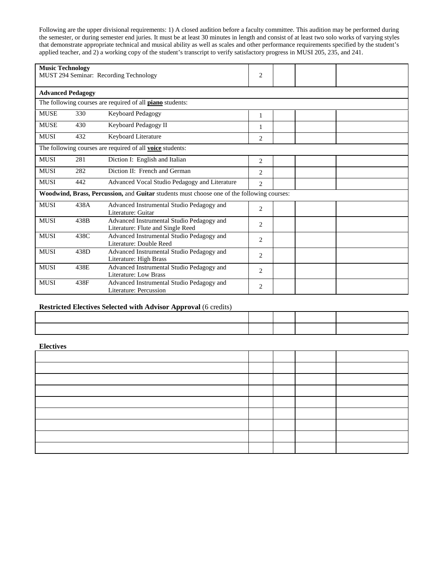Following are the upper divisional requirements: 1) A closed audition before a faculty committee. This audition may be performed during the semester, or during semester end juries. It must be at least 30 minutes in length and consist of at least two solo works of varying styles that demonstrate appropriate technical and musical ability as well as scales and other performance requirements specified by the student's applied teacher, and 2) a working copy of the student's transcript to verify satisfactory progress in MUSI 205, 235, and 241.

| <b>Music Technology</b><br>MUST 294 Seminar: Recording Technology |                          |                                                                                            | $\overline{2}$ |  |  |
|-------------------------------------------------------------------|--------------------------|--------------------------------------------------------------------------------------------|----------------|--|--|
|                                                                   | <b>Advanced Pedagogy</b> |                                                                                            |                |  |  |
|                                                                   |                          | The following courses are required of all <b>piano</b> students:                           |                |  |  |
| <b>MUSE</b>                                                       | 330                      | Keyboard Pedagogy                                                                          | 1              |  |  |
| <b>MUSE</b>                                                       | 430                      | Keyboard Pedagogy II                                                                       |                |  |  |
| <b>MUSI</b>                                                       | 432                      | Keyboard Literature                                                                        | 2              |  |  |
|                                                                   |                          | The following courses are required of all voice students:                                  |                |  |  |
| <b>MUSI</b>                                                       | 281                      | Diction I: English and Italian                                                             | 2              |  |  |
| <b>MUSI</b>                                                       | 282                      | Diction II: French and German                                                              | $\overline{c}$ |  |  |
| <b>MUSI</b>                                                       | 442                      | Advanced Vocal Studio Pedagogy and Literature                                              | $\overline{2}$ |  |  |
|                                                                   |                          | Woodwind, Brass, Percussion, and Guitar students must choose one of the following courses: |                |  |  |
| <b>MUSI</b>                                                       | 438A                     | Advanced Instrumental Studio Pedagogy and<br>Literature: Guitar                            | 2              |  |  |
| <b>MUSI</b>                                                       | 438B                     | Advanced Instrumental Studio Pedagogy and<br>Literature: Flute and Single Reed             | 2              |  |  |
| <b>MUSI</b>                                                       | 438C                     | Advanced Instrumental Studio Pedagogy and<br>Literature: Double Reed                       | $\overline{2}$ |  |  |
| <b>MUSI</b>                                                       | 438D                     | Advanced Instrumental Studio Pedagogy and<br>Literature: High Brass                        | 2              |  |  |
| <b>MUSI</b>                                                       | 438E                     | Advanced Instrumental Studio Pedagogy and<br>Literature: Low Brass                         | $\overline{2}$ |  |  |
| <b>MUSI</b>                                                       | 438F                     | Advanced Instrumental Studio Pedagogy and<br>Literature: Percussion                        | $\overline{c}$ |  |  |

## **Restricted Electives Selected with Advisor Approval** (6 credits)

**Electives**